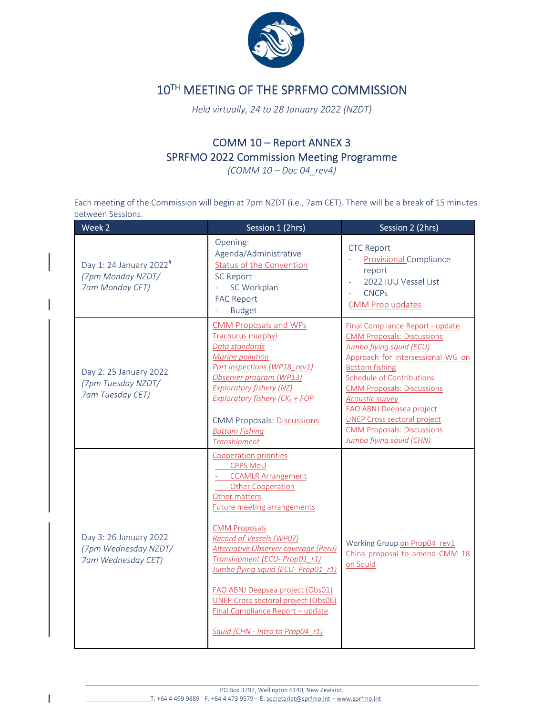

## 10TH MEETING OF THE SPRFMO COMMISSION

*Held virtually, 24 to 28 January 2022 (NZDT)*

## COMM 10 – Report ANNEX 3 SPRFMO 2022 Commission Meeting Programme

*(COMM 10 – Doc 04\_rev4)*

Each meeting of the Commission will begin at 7pm NZDT (i.e., 7am CET). There will be a break of 15 minutes between Sessions.

| Week 2                                                                      | Session 1 (2hrs)                                                                                                                                                                                                                                                                                                                                                                                                                                                                                      | Session 2 (2hrs)                                                                                                                                                                                                                                                                                                                                                                                             |
|-----------------------------------------------------------------------------|-------------------------------------------------------------------------------------------------------------------------------------------------------------------------------------------------------------------------------------------------------------------------------------------------------------------------------------------------------------------------------------------------------------------------------------------------------------------------------------------------------|--------------------------------------------------------------------------------------------------------------------------------------------------------------------------------------------------------------------------------------------------------------------------------------------------------------------------------------------------------------------------------------------------------------|
| Day 1: 24 January 2022 <sup>#</sup><br>(7pm Monday NZDT/<br>7am Monday CET) | Opening:<br>Agenda/Administrative<br><b>Status of the Convention</b><br><b>SC Report</b><br>SC Workplan<br><b>FAC Report</b><br><b>Budget</b>                                                                                                                                                                                                                                                                                                                                                         | <b>CTC Report</b><br><b>Provisional Compliance</b><br>report<br>2022 IUU Vessel List<br><b>CNCPs</b><br><b>CMM Prop updates</b>                                                                                                                                                                                                                                                                              |
| Day 2: 25 January 2022<br>(7pm Tuesday NZDT/<br>7am Tuesday CET)            | <b>CMM Proposals and WPs</b><br>Trachurus murphyi<br>Data standards<br><b>Marine pollution</b><br>Port inspections (WP18 rev1)<br>Observer program (WP13)<br><b>Exploratory fishery (NZ)</b><br>Exploratory fishery (CK) + FOP<br><b>CMM Proposals: Discussions</b><br><b>Bottom Fishing</b><br><b>Transhipment</b>                                                                                                                                                                                   | Final Compliance Report - update<br><b>CMM Proposals: Discussions</b><br>Jumbo flying squid (ECU)<br>Approach for intersessional WG on<br><b>Bottom fishing</b><br><b>Schedule of Contributions</b><br><b>CMM Proposals: Discussions</b><br><b>Acoustic survey</b><br><b>FAO ABNJ Deepsea project</b><br><b>UNEP Cross sectoral project</b><br><b>CMM Proposals: Discussions</b><br>Jumbo flying squid (CHN) |
| Day 3: 26 January 2022<br>(7pm Wednesday NZDT/<br>7am Wednesday CET)        | <b>Cooperation priorities</b><br><b>CPPS MoU</b><br><b>CCAMLR Arrangement</b><br><b>Other Cooperation</b><br>Other matters<br><b>Future meeting arrangements</b><br><b>CMM Proposals</b><br><b>Record of Vessels (WP07)</b><br>Alternative Observer coverage (Peru)<br>Transhipment (ECU- Prop01 r1)<br>Jumbo flying squid (ECU- Prop01 r1)<br>FAO ABNJ Deepsea project (Obs01)<br><b>UNEP Cross sectoral project (Obs06)</b><br>Final Compliance Report - update<br>Squid (CHN - Intro to Prop04 r1) | Working Group on Prop04 rev1<br>China proposal to amend CMM 18<br>on Squid                                                                                                                                                                                                                                                                                                                                   |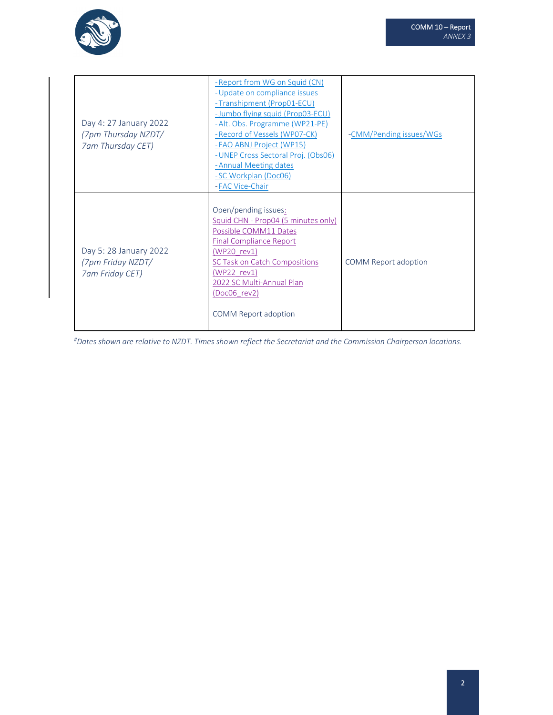

| Day 4: 27 January 2022<br>(7pm Thursday NZDT/<br>7am Thursday CET) | - Report from WG on Squid (CN)<br>- Update on compliance issues<br>-Transhipment (Prop01-ECU)<br>- Jumbo flying squid (Prop03-ECU)<br>-Alt. Obs. Programme (WP21-PE)<br>- Record of Vessels (WP07-CK)<br>- FAO ABNJ Project (WP15)<br>-UNEP Cross Sectoral Proj. (Obs06)<br>- Annual Meeting dates<br>-SC Workplan (Doc06)<br>- FAC Vice-Chair | -CMM/Pending issues/WGs |
|--------------------------------------------------------------------|------------------------------------------------------------------------------------------------------------------------------------------------------------------------------------------------------------------------------------------------------------------------------------------------------------------------------------------------|-------------------------|
| Day 5: 28 January 2022<br>(7pm Friday NZDT/<br>7am Friday CET)     | Open/pending issues:<br>Squid CHN - Prop04 (5 minutes only)<br>Possible COMM11 Dates<br><b>Final Compliance Report</b><br>(WP20 rev1)<br>SC Task on Catch Compositions<br>(WP22 rev1)<br>2022 SC Multi-Annual Plan<br>(Doc06 rev2)<br><b>COMM Report adoption</b>                                                                              | COMM Report adoption    |

#Dates shown are relative to NZDT. Times shown reflect the Secretariat and the Commission Chairperson locations.